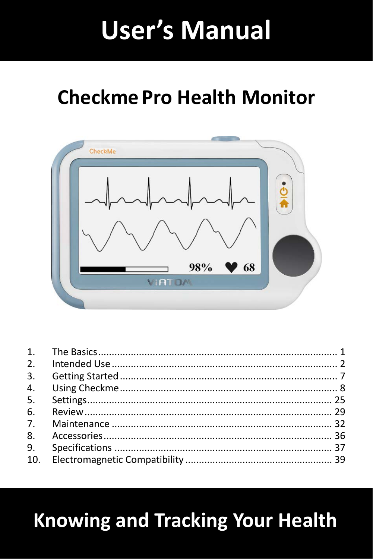# **User's Manual**

# **Checkme Pro Health Monitor**



# **Knowing and Tracking Your Health**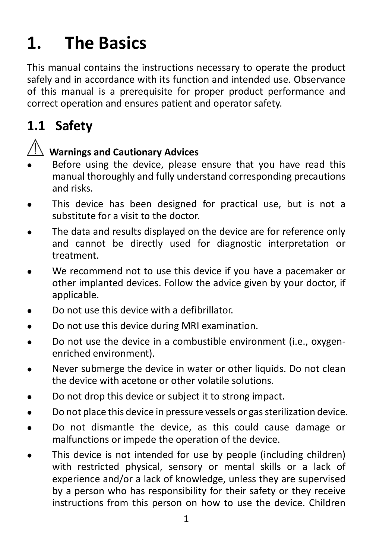# <span id="page-1-0"></span>**1. The Basics**

This manual contains the instructions necessary to operate the product safely and in accordance with its function and intended use. Observance of this manual is a prerequisite for proper product performance and correct operation and ensures patient and operator safety.

## **1.1 Safety**

#### **Warnings and Cautionary Advices**

- Before using the device, please ensure that you have read this manual thoroughly and fully understand corresponding precautions and risks.
- This device has been designed for practical use, but is not a substitute for a visit to the doctor.
- The data and results displayed on the device are for reference only and cannot be directly used for diagnostic interpretation or treatment.
- We recommend not to use this device if you have a pacemaker or other implanted devices. Follow the advice given by your doctor, if applicable.
- Do not use this device with a defibrillator.
- Do not use this device during MRI examination.
- Do not use the device in a combustible environment (i.e., oxygenenriched environment).
- Never submerge the device in water or other liquids. Do not clean the device with acetone or other volatile solutions.
- Do not drop this device or subject it to strong impact.
- Do not place this device in pressure vessels or gas sterilization device.
- Do not dismantle the device, as this could cause damage or malfunctions or impede the operation of the device.
- This device is not intended for use by people (including children) with restricted physical, sensory or mental skills or a lack of experience and/or a lack of knowledge, unless they are supervised by a person who has responsibility for their safety or they receive instructions from this person on how to use the device. Children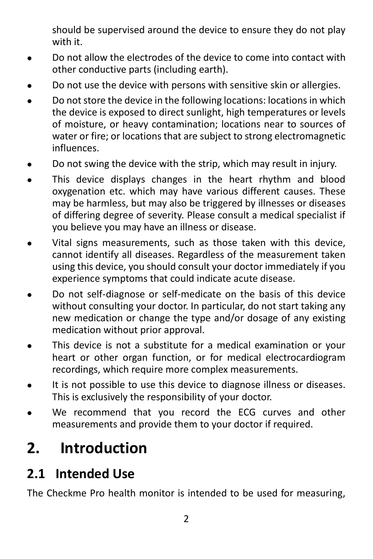should be supervised around the device to ensure they do not play with it.

- Do not allow the electrodes of the device to come into contact with other conductive parts (including earth).
- Do not use the device with persons with sensitive skin or allergies.
- Do not store the device in the following locations: locations in which the device is exposed to direct sunlight, high temperatures or levels of moisture, or heavy contamination; locations near to sources of water or fire; or locations that are subject to strong electromagnetic influences.
- Do not swing the device with the strip, which may result in injury.
- This device displays changes in the heart rhythm and blood oxygenation etc. which may have various different causes. These may be harmless, but may also be triggered by illnesses or diseases of differing degree of severity. Please consult a medical specialist if you believe you may have an illness or disease.
- Vital signs measurements, such as those taken with this device, cannot identify all diseases. Regardless of the measurement taken using this device, you should consult your doctor immediately if you experience symptoms that could indicate acute disease.
- Do not self-diagnose or self-medicate on the basis of this device without consulting your doctor. In particular, do not start taking any new medication or change the type and/or dosage of any existing medication without prior approval.
- This device is not a substitute for a medical examination or your heart or other organ function, or for medical electrocardiogram recordings, which require more complex measurements.
- It is not possible to use this device to diagnose illness or diseases. This is exclusively the responsibility of your doctor.
- We recommend that you record the ECG curves and other measurements and provide them to your doctor if required.

## <span id="page-2-0"></span>**2. Introduction**

#### **2.1 Intended Use**

The Checkme Pro health monitor is intended to be used for measuring,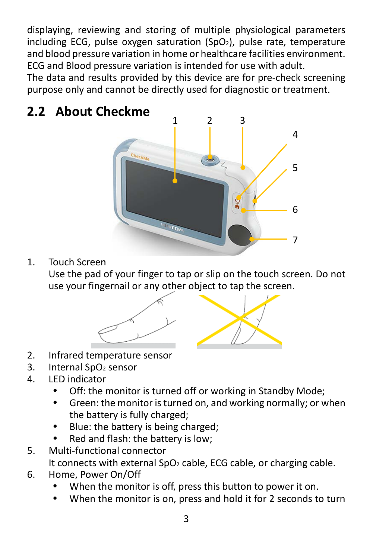displaying, reviewing and storing of multiple physiological parameters including ECG, pulse oxygen saturation (SpO<sub>2</sub>), pulse rate, temperature and blood pressure variation in home or healthcare facilities environment. ECG and Blood pressure variation is intended for use with adult.

The data and results provided by this device are for pre-check screening purpose only and cannot be directly used for diagnostic or treatment.

# **2.2 About Checkme** 5 6 7 1 2 3 4

1. Touch Screen

Use the pad of your finger to tap or slip on the touch screen. Do not use your fingernail or any other object to tap the screen.



- 2. Infrared temperature sensor
- 3. Internal SpO<sub>2</sub> sensor
- 4. LED indicator
	- Off: the monitor is turned off or working in Standby Mode;
	- Green: the monitor is turned on, and working normally; or when the battery is fully charged;
	- Blue: the battery is being charged;
	- Red and flash: the battery is low;
- 5. Multi-functional connector It connects with external SpO<sub>2</sub> cable, ECG cable, or charging cable.
- 6. Home, Power On/Off
	- When the monitor is off, press this button to power it on.
	- When the monitor is on, press and hold it for 2 seconds to turn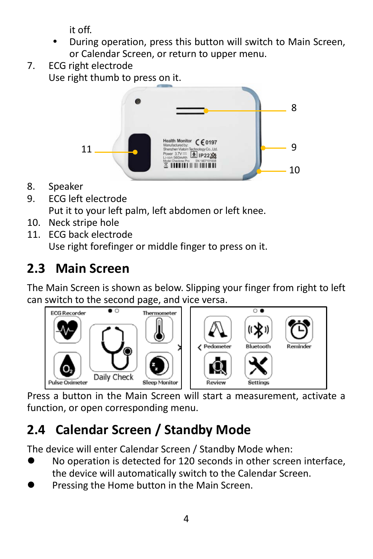it off.

- During operation, press this button will switch to Main Screen, or Calendar Screen, or return to upper menu.
- 7. ECG right electrode

Use right thumb to press on it.



- 8. Speaker
- 9. ECG left electrode Put it to your left palm, left abdomen or left knee.
- 10. Neck stripe hole
- 11. ECG back electrode Use right forefinger or middle finger to press on it.

## **2.3 Main Screen**

The Main Screen is shown as below. Slipping your finger from right to left can switch to the second page, and vice versa.



Press a button in the Main Screen will start a measurement, activate a function, or open corresponding menu.

## **2.4 Calendar Screen / Standby Mode**

The device will enter Calendar Screen / Standby Mode when:

- No operation is detected for 120 seconds in other screen interface, the device will automatically switch to the Calendar Screen.
- Pressing the Home button in the Main Screen.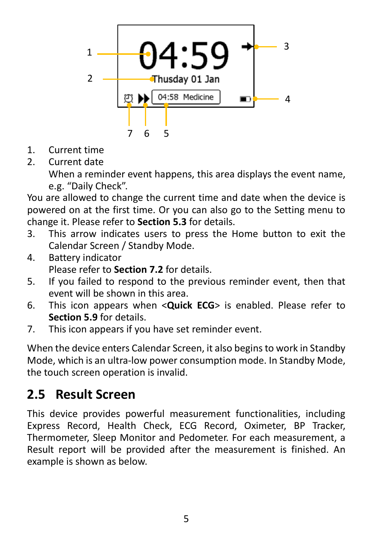

- 1. Current time
- 2. Current date

When a reminder event happens, this area displays the event name, e.g. "Daily Check".

You are allowed to change the current time and date when the device is powered on at the first time. Or you can also go to the Setting menu to change it. Please refer to **Section 5.3** for details.

- 3. This arrow indicates users to press the Home button to exit the Calendar Screen / Standby Mode.
- 4. Battery indicator Please refer to **Section 7.2** for details.
- 5. If you failed to respond to the previous reminder event, then that event will be shown in this area.
- 6. This icon appears when <**Quick ECG**> is enabled. Please refer to **Section 5.9** for details.
- 7. This icon appears if you have set reminder event.

When the device enters Calendar Screen, it also begins to work in Standby Mode, which is an ultra-low power consumption mode. In Standby Mode, the touch screen operation is invalid.

#### **2.5 Result Screen**

This device provides powerful measurement functionalities, including Express Record, Health Check, ECG Record, Oximeter, BP Tracker, Thermometer, Sleep Monitor and Pedometer. For each measurement, a Result report will be provided after the measurement is finished. An example is shown as below.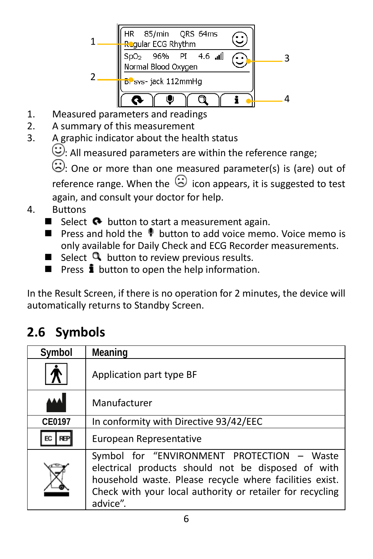

- 1. Measured parameters and readings
- 2. A summary of this measurement
- 3. A graphic indicator about the health status

 $\mathbb{C}$ : All measured parameters are within the reference range;

 $\langle \cdot \rangle$ : One or more than one measured parameter(s) is (are) out of reference range. When the  $\odot$  icon appears, it is suggested to test again, and consult your doctor for help.

- 4. Buttons
	- Select  $\bigcirc$  button to start a measurement again.
	- **Press and hold the**  $\bullet$  **button to add voice memo. Voice memo is** only available for Daily Check and ECG Recorder measurements.
	- Select  $\mathbf{Q}$  button to review previous results.
	- **Press**  $\mathbf{i}$  button to open the help information.

In the Result Screen, if there is no operation for 2 minutes, the device will automatically returns to Standby Screen.

#### **2.6 Symbols**

| Symbol    | Meaning                                                                                                                                                                                                                              |
|-----------|--------------------------------------------------------------------------------------------------------------------------------------------------------------------------------------------------------------------------------------|
|           | Application part type BF                                                                                                                                                                                                             |
|           | Manufacturer                                                                                                                                                                                                                         |
| CE0197    | In conformity with Directive 93/42/EEC                                                                                                                                                                                               |
| ЕC<br>REF | European Representative                                                                                                                                                                                                              |
|           | Symbol for "ENVIRONMENT PROTECTION - Waste<br>electrical products should not be disposed of with<br>household waste. Please recycle where facilities exist.<br>Check with your local authority or retailer for recycling<br>advice". |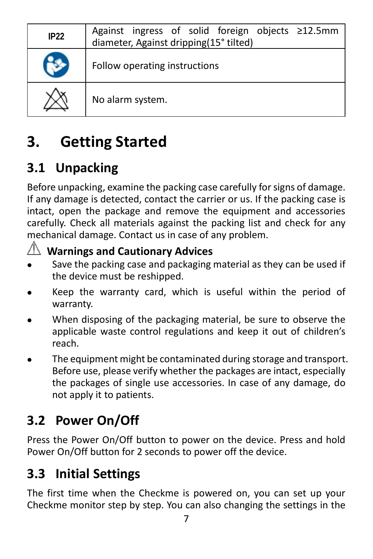| IP22 | Against ingress of solid foreign objects ≥12.5mm<br>diameter, Against dripping(15° tilted) |
|------|--------------------------------------------------------------------------------------------|
|      | Follow operating instructions                                                              |
|      | No alarm system.                                                                           |

## <span id="page-7-0"></span>**3. Getting Started**

## **3.1 Unpacking**

Before unpacking, examine the packing case carefully for signs of damage. If any damage is detected, contact the carrier or us. If the packing case is intact, open the package and remove the equipment and accessories carefully. Check all materials against the packing list and check for any mechanical damage. Contact us in case of any problem.



## **Warnings and Cautionary Advices**

- Save the packing case and packaging material as they can be used if the device must be reshipped.
- Keep the warranty card, which is useful within the period of warranty.
- When disposing of the packaging material, be sure to observe the applicable waste control regulations and keep it out of children's reach.
- The equipment might be contaminated during storage and transport. Before use, please verify whether the packages are intact, especially the packages of single use accessories. In case of any damage, do not apply it to patients.

## **3.2 Power On/Off**

Press the Power On/Off button to power on the device. Press and hold Power On/Off button for 2 seconds to power off the device.

#### **3.3 Initial Settings**

The first time when the Checkme is powered on, you can set up your Checkme monitor step by step. You can also changing the settings in the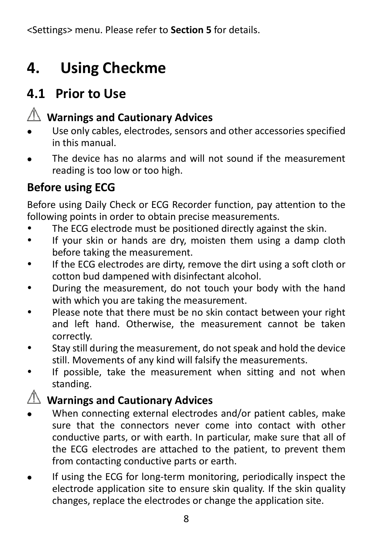<Settings> menu. Please refer to **Section 5** for details.

## <span id="page-8-0"></span>**4. Using Checkme**

#### **4.1 Prior to Use**

## **Warnings and Cautionary Advices**

- Use only cables, electrodes, sensors and other accessories specified in this manual.
- The device has no alarms and will not sound if the measurement reading is too low or too high.

#### **Before using ECG**

Before using Daily Check or ECG Recorder function, pay attention to the following points in order to obtain precise measurements.

- The ECG electrode must be positioned directly against the skin.
- If your skin or hands are dry, moisten them using a damp cloth before taking the measurement.
- If the ECG electrodes are dirty, remove the dirt using a soft cloth or cotton bud dampened with disinfectant alcohol.
- During the measurement, do not touch your body with the hand with which you are taking the measurement.
- Please note that there must be no skin contact between your right and left hand. Otherwise, the measurement cannot be taken correctly.
- Stay still during the measurement, do not speak and hold the device still. Movements of any kind will falsify the measurements.
- If possible, take the measurement when sitting and not when standing.

#### **Warnings and Cautionary Advices**

- When connecting external electrodes and/or patient cables, make sure that the connectors never come into contact with other conductive parts, or with earth. In particular, make sure that all of the ECG electrodes are attached to the patient, to prevent them from contacting conductive parts or earth.
- If using the ECG for long-term monitoring, periodically inspect the electrode application site to ensure skin quality. If the skin quality changes, replace the electrodes or change the application site.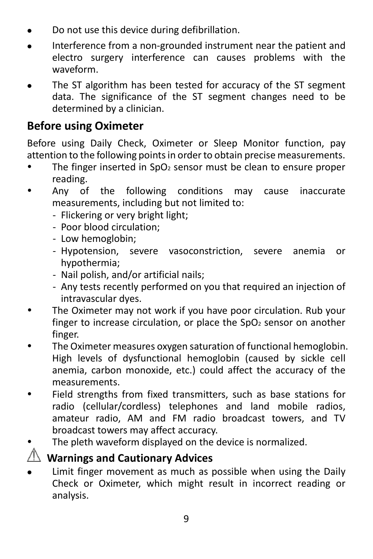- Do not use this device during defibrillation.
- Interference from a non-grounded instrument near the patient and electro surgery interference can causes problems with the waveform.
- The ST algorithm has been tested for accuracy of the ST segment data. The significance of the ST segment changes need to be determined by a clinician.

#### **Before using Oximeter**

Before using Daily Check, Oximeter or Sleep Monitor function, pay attention to the following points in order to obtain precise measurements.

- $\bullet$  The finger inserted in SpO<sub>2</sub> sensor must be clean to ensure proper reading.
- Any of the following conditions may cause inaccurate measurements, including but not limited to:
	- Flickering or very bright light;
	- Poor blood circulation;
	- Low hemoglobin;
	- Hypotension, severe vasoconstriction, severe anemia or hypothermia;
	- Nail polish, and/or artificial nails;
	- Any tests recently performed on you that required an injection of intravascular dyes.
- The Oximeter may not work if you have poor circulation. Rub your finger to increase circulation, or place the  $SpO<sub>2</sub>$  sensor on another finger.
- The Oximeter measures oxygen saturation of functional hemoglobin. High levels of dysfunctional hemoglobin (caused by sickle cell anemia, carbon monoxide, etc.) could affect the accuracy of the measurements.
- Field strengths from fixed transmitters, such as base stations for radio (cellular/cordless) telephones and land mobile radios, amateur radio, AM and FM radio broadcast towers, and TV broadcast towers may affect accuracy.
	- The pleth waveform displayed on the device is normalized.

#### **Warnings and Cautionary Advices**

 Limit finger movement as much as possible when using the Daily Check or Oximeter, which might result in incorrect reading or analysis.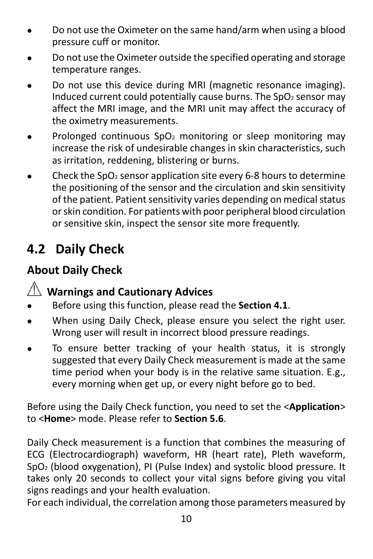- Do not use the Oximeter on the same hand/arm when using a blood pressure cuff or monitor.
- Do not use the Oximeter outside the specified operating and storage temperature ranges.
- Do not use this device during MRI (magnetic resonance imaging). Induced current could potentially cause burns. The  $SpO<sub>2</sub>$  sensor may affect the MRI image, and the MRI unit may affect the accuracy of the oximetry measurements.
- Prolonged continuous  $SpO<sub>2</sub>$  monitoring or sleep monitoring may increase the risk of undesirable changes in skin characteristics, such as irritation, reddening, blistering or burns.
- Check the SpO<sub>2</sub> sensor application site every 6-8 hours to determine the positioning of the sensor and the circulation and skin sensitivity of the patient. Patient sensitivity varies depending on medical status or skin condition. For patients with poor peripheral blood circulation or sensitive skin, inspect the sensor site more frequently.

#### **4.2 Daily Check**

#### **About Daily Check**

#### **Warnings and Cautionary Advices**

- Before using this function, please read the **Section 4.1**.
- When using Daily Check, please ensure you select the right user. Wrong user will result in incorrect blood pressure readings.
- To ensure better tracking of your health status, it is strongly suggested that every Daily Check measurement is made at the same time period when your body is in the relative same situation. E.g., every morning when get up, or every night before go to bed.

Before using the Daily Check function, you need to set the <**Application**> to <**Home**> mode. Please refer to **Section 5.6**.

Daily Check measurement is a function that combines the measuring of ECG (Electrocardiograph) waveform, HR (heart rate), Pleth waveform, SpO2 (blood oxygenation), PI (Pulse Index) and systolic blood pressure. It takes only 20 seconds to collect your vital signs before giving you vital signs readings and your health evaluation.

For each individual, the correlation among those parameters measured by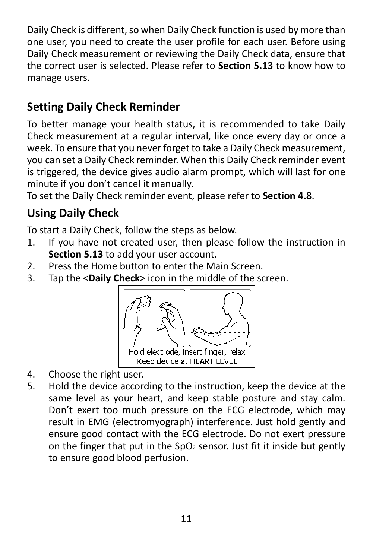Daily Check is different, so when Daily Check function is used by more than one user, you need to create the user profile for each user. Before using Daily Check measurement or reviewing the Daily Check data, ensure that the correct user is selected. Please refer to **Section 5.13** to know how to manage users.

#### **Setting Daily Check Reminder**

To better manage your health status, it is recommended to take Daily Check measurement at a regular interval, like once every day or once a week. To ensure that you never forget to take a Daily Check measurement, you can set a Daily Check reminder. When this Daily Check reminder event is triggered, the device gives audio alarm prompt, which will last for one minute if you don't cancel it manually.

To set the Daily Check reminder event, please refer to **Section 4.8**.

#### **Using Daily Check**

To start a Daily Check, follow the steps as below.

- 1. If you have not created user, then please follow the instruction in **Section 5.13** to add your user account.
- 2. Press the Home button to enter the Main Screen.
- 3. Tap the <**Daily Check**> icon in the middle of the screen.



- 4. Choose the right user.
- 5. Hold the device according to the instruction, keep the device at the same level as your heart, and keep stable posture and stay calm. Don't exert too much pressure on the ECG electrode, which may result in EMG (electromyograph) interference. Just hold gently and ensure good contact with the ECG electrode. Do not exert pressure on the finger that put in the SpO<sub>2</sub> sensor. Just fit it inside but gently to ensure good blood perfusion.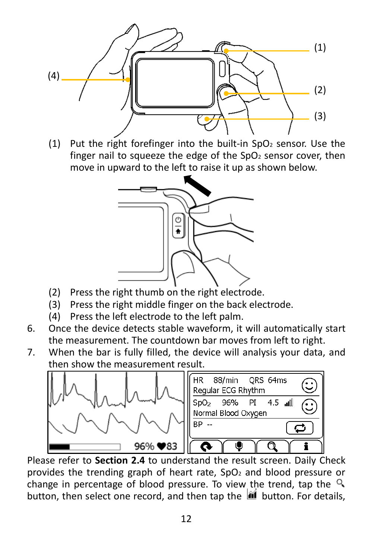

(1) Put the right forefinger into the built-in  $SpO<sub>2</sub>$  sensor. Use the finger nail to squeeze the edge of the  $SpO<sub>2</sub>$  sensor cover, then move in upward to the left to raise it up as shown below.



- (2) Press the right thumb on the right electrode.
- (3) Press the right middle finger on the back electrode.
- (4) Press the left electrode to the left palm.
- 6. Once the device detects stable waveform, it will automatically start the measurement. The countdown bar moves from left to right.
- 7. When the bar is fully filled, the device will analysis your data, and then show the measurement result.



Please refer to **Section 2.4** to understand the result screen. Daily Check provides the trending graph of heart rate,  $SpO<sub>2</sub>$  and blood pressure or change in percentage of blood pressure. To view the trend, tap the  $\mathbb{R}$ button, then select one record, and then tap the **independent** button. For details,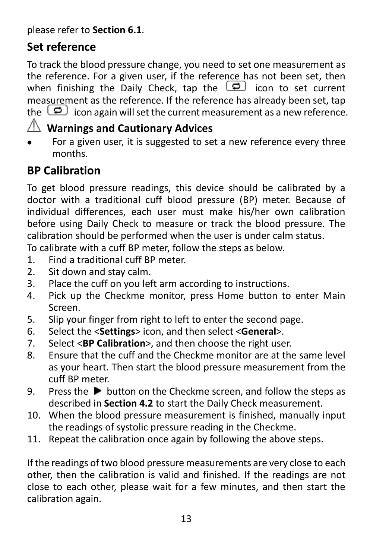please refer to **Section 6.1**.

#### **Set reference**

To track the blood pressure change, you need to set one measurement as the reference. For a given user, if the reference has not been set, then when finishing the Daily Check, tap the  $\Box$  icon to set current measurement as the reference. If the reference has already been set, tap the  $\Box$  icon again will set the current measurement as a new reference.

#### **Warnings and Cautionary Advices**

 For a given user, it is suggested to set a new reference every three months.

#### **BP Calibration**

To get blood pressure readings, this device should be calibrated by a doctor with a traditional cuff blood pressure (BP) meter. Because of individual differences, each user must make his/her own calibration before using Daily Check to measure or track the blood pressure. The calibration should be performed when the user is under calm status.

To calibrate with a cuff BP meter, follow the steps as below.

- 1. Find a traditional cuff BP meter.
- 2. Sit down and stay calm.
- 3. Place the cuff on you left arm according to instructions.
- 4. Pick up the Checkme monitor, press Home button to enter Main Screen.
- 5. Slip your finger from right to left to enter the second page.
- 6. Select the <**Settings**> icon, and then select <**General**>.
- 7. Select <**BP Calibration**>, and then choose the right user.
- 8. Ensure that the cuff and the Checkme monitor are at the same level as your heart. Then start the blood pressure measurement from the cuff BP meter.
- 9. Press the  $\blacktriangleright$  button on the Checkme screen, and follow the steps as described in **Section 4.2** to start the Daily Check measurement.
- 10. When the blood pressure measurement is finished, manually input the readings of systolic pressure reading in the Checkme.
- 11. Repeat the calibration once again by following the above steps.

If the readings of two blood pressure measurements are very close to each other, then the calibration is valid and finished. If the readings are not close to each other, please wait for a few minutes, and then start the calibration again.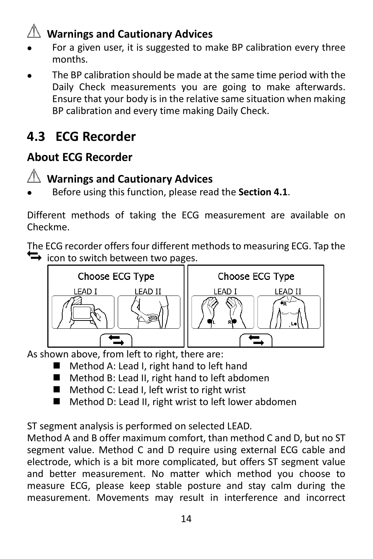## **Warnings and Cautionary Advices**

- For a given user, it is suggested to make BP calibration every three months.
- The BP calibration should be made at the same time period with the Daily Check measurements you are going to make afterwards. Ensure that your body is in the relative same situation when making BP calibration and every time making Daily Check.

## **4.3 ECG Recorder**

#### **About ECG Recorder**



#### **Warnings and Cautionary Advices**

Before using this function, please read the **Section 4.1**.

Different methods of taking the ECG measurement are available on Checkme.

The ECG recorder offers four different methods to measuring ECG. Tap the  $\leftrightarrow$  icon to switch between two pages.



As shown above, from left to right, there are:

- Method A: Lead I, right hand to left hand
- Method B: Lead II, right hand to left abdomen
- Method C: Lead I, left wrist to right wrist
- Method D: Lead II, right wrist to left lower abdomen

ST segment analysis is performed on selected LEAD.

Method A and B offer maximum comfort, than method C and D, but no ST segment value. Method C and D require using external ECG cable and electrode, which is a bit more complicated, but offers ST segment value and better measurement. No matter which method you choose to measure ECG, please keep stable posture and stay calm during the measurement. Movements may result in interference and incorrect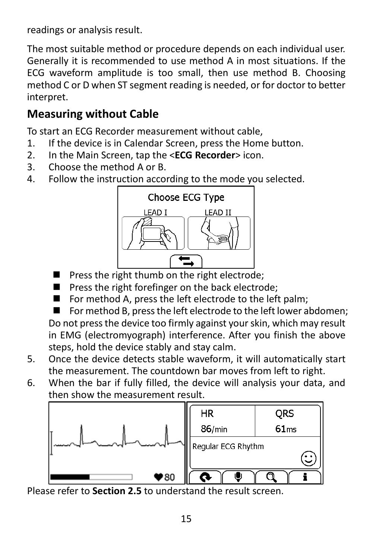readings or analysis result.

The most suitable method or procedure depends on each individual user. Generally it is recommended to use method A in most situations. If the ECG waveform amplitude is too small, then use method B. Choosing method C or D when ST segment reading is needed, or for doctor to better interpret.

#### **Measuring without Cable**

To start an ECG Recorder measurement without cable,

- 1. If the device is in Calendar Screen, press the Home button.
- 2. In the Main Screen, tap the <**ECG Recorder**> icon.
- 3. Choose the method A or B.
- 4. Follow the instruction according to the mode you selected.



- **Press the right thumb on the right electrode;**
- Press the right forefinger on the back electrode;
- For method A, press the left electrode to the left palm;

 $\blacksquare$  For method B, press the left electrode to the left lower abdomen; Do not press the device too firmly against your skin, which may result in EMG (electromyograph) interference. After you finish the above steps, hold the device stably and stay calm.

- 5. Once the device detects stable waveform, it will automatically start the measurement. The countdown bar moves from left to right.
- 6. When the bar if fully filled, the device will analysis your data, and then show the measurement result.



Please refer to **Section 2.5** to understand the result screen.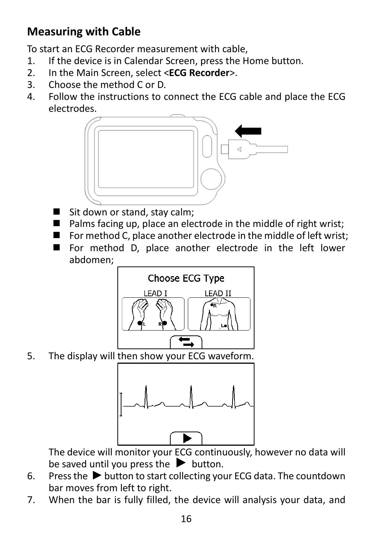#### **Measuring with Cable**

To start an ECG Recorder measurement with cable,

- 1. If the device is in Calendar Screen, press the Home button.
- 2. In the Main Screen, select <**ECG Recorder**>.
- Choose the method C or D.
- 4. Follow the instructions to connect the ECG cable and place the ECG electrodes.



- Sit down or stand, stay calm;
- $\blacksquare$  Palms facing up, place an electrode in the middle of right wrist;
- For method C, place another electrode in the middle of left wrist:
- For method D, place another electrode in the left lower abdomen;



5. The display will then show your ECG waveform.



The device will monitor your ECG continuously, however no data will be saved until you press the  $\blacktriangleright$  button.

- 6. Press the  $\blacktriangleright$  button to start collecting your ECG data. The countdown bar moves from left to right.
- 7. When the bar is fully filled, the device will analysis your data, and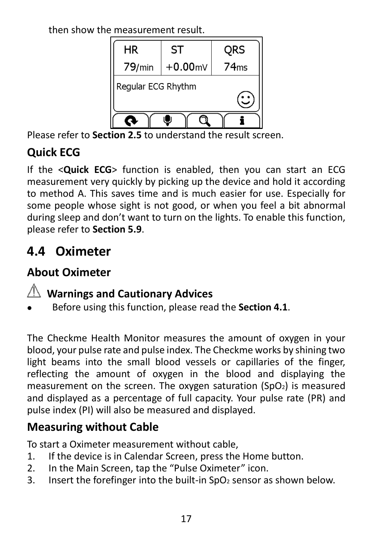then show the measurement result.



Please refer to **Section 2.5** to understand the result screen.

#### **Quick ECG**

If the <**Quick ECG**> function is enabled, then you can start an ECG measurement very quickly by picking up the device and hold it according to method A. This saves time and is much easier for use. Especially for some people whose sight is not good, or when you feel a bit abnormal during sleep and don't want to turn on the lights. To enable this function, please refer to **Section 5.9**.

#### **4.4 Oximeter**

#### **About Oximeter**

#### **Warnings and Cautionary Advices**

Before using this function, please read the **Section 4.1**.

The Checkme Health Monitor measures the amount of oxygen in your blood, your pulse rate and pulse index. The Checkme works by shining two light beams into the small blood vessels or capillaries of the finger, reflecting the amount of oxygen in the blood and displaying the measurement on the screen. The oxygen saturation  $(SpO<sub>2</sub>)$  is measured and displayed as a percentage of full capacity. Your pulse rate (PR) and pulse index (PI) will also be measured and displayed.

#### **Measuring without Cable**

To start a Oximeter measurement without cable,

- 1. If the device is in Calendar Screen, press the Home button.
- 2. In the Main Screen, tap the "Pulse Oximeter" icon.
- 3. Insert the forefinger into the built-in  $SO<sub>2</sub>$  sensor as shown below.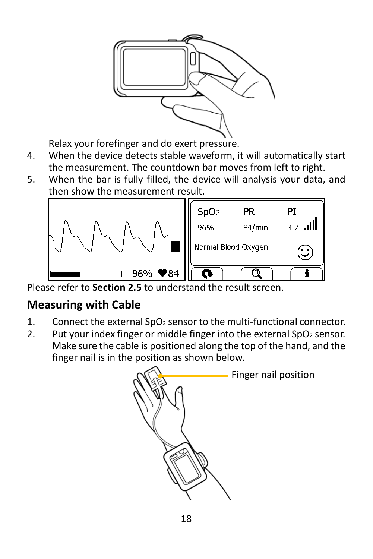

Relax your forefinger and do exert pressure.

- 4. When the device detects stable waveform, it will automatically start the measurement. The countdown bar moves from left to right.
- 5. When the bar is fully filled, the device will analysis your data, and then show the measurement result.



Please refer to **Section 2.5** to understand the result screen.

#### **Measuring with Cable**

- 1. Connect the external  $SpO<sub>2</sub>$  sensor to the multi-functional connector.
- 2. Put your index finger or middle finger into the external  $SpO<sub>2</sub>$  sensor. Make sure the cable is positioned along the top of the hand, and the finger nail is in the position as shown below.

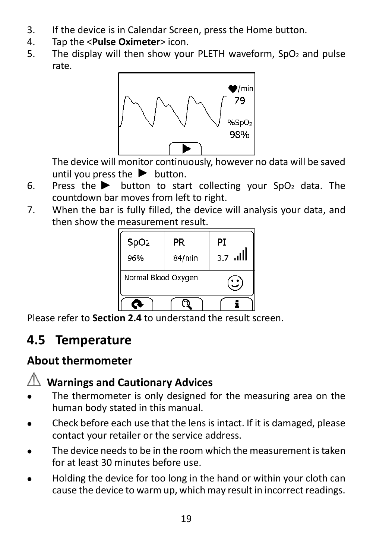- 3. If the device is in Calendar Screen, press the Home button.
- 4. Tap the <**Pulse Oximeter**> icon.
- 5. The display will then show your PLETH waveform,  $SpO<sub>2</sub>$  and pulse rate.



The device will monitor continuously, however no data will be saved until you press the  $\blacktriangleright$  button.

- 6. Press the **button to start collecting your SpO**<sub>2</sub> data. The countdown bar moves from left to right.
- 7. When the bar is fully filled, the device will analysis your data, and then show the measurement result.

| SpO <sub>2</sub>    | PR     | PТ          |
|---------------------|--------|-------------|
| 96%                 | 84/min | اللي<br>3.7 |
| Normal Blood Oxygen |        |             |
|                     |        |             |

Please refer to **Section 2.4** to understand the result screen.

#### **4.5 Temperature**

#### **About thermometer**

#### **Warnings and Cautionary Advices**

- The thermometer is only designed for the measuring area on the human body stated in this manual.
- Check before each use that the lens is intact. If it is damaged, please contact your retailer or the service address.
- The device needs to be in the room which the measurement is taken for at least 30 minutes before use.
- Holding the device for too long in the hand or within your cloth can cause the device to warm up, which may result in incorrect readings.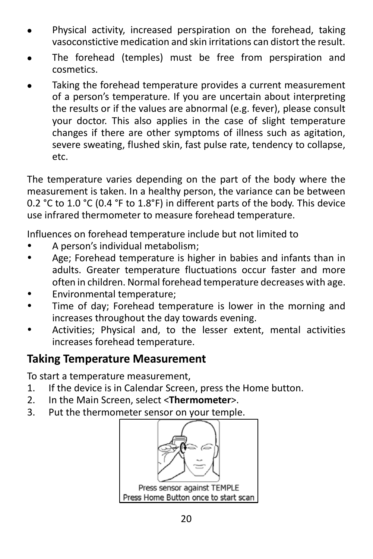- Physical activity, increased perspiration on the forehead, taking vasoconstictive medication and skin irritations can distort the result.
- The forehead (temples) must be free from perspiration and cosmetics.
- Taking the forehead temperature provides a current measurement of a person's temperature. If you are uncertain about interpreting the results or if the values are abnormal (e.g. fever), please consult your doctor. This also applies in the case of slight temperature changes if there are other symptoms of illness such as agitation, severe sweating, flushed skin, fast pulse rate, tendency to collapse, etc.

The temperature varies depending on the part of the body where the measurement is taken. In a healthy person, the variance can be between 0.2 °C to 1.0 °C (0.4 °F to 1.8°F) in different parts of the body. This device use infrared thermometer to measure forehead temperature.

Influences on forehead temperature include but not limited to

- A person's individual metabolism;
- Age; Forehead temperature is higher in babies and infants than in adults. Greater temperature fluctuations occur faster and more often in children. Normal forehead temperature decreases with age.
- Environmental temperature;
- Time of day; Forehead temperature is lower in the morning and increases throughout the day towards evening.
- Activities; Physical and, to the lesser extent, mental activities increases forehead temperature.

#### **Taking Temperature Measurement**

To start a temperature measurement,

- 1. If the device is in Calendar Screen, press the Home button.
- 2. In the Main Screen, select <**Thermometer**>.
- 3. Put the thermometer sensor on your temple.

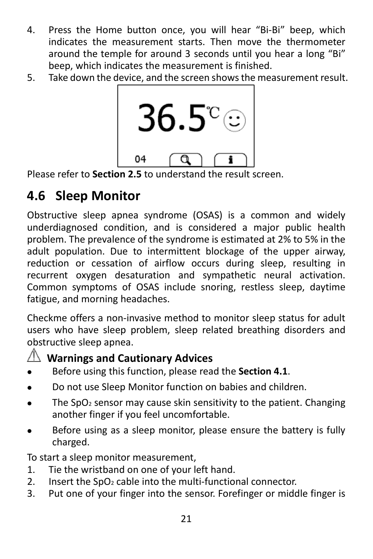- 4. Press the Home button once, you will hear "Bi-Bi" beep, which indicates the measurement starts. Then move the thermometer around the temple for around 3 seconds until you hear a long "Bi" beep, which indicates the measurement is finished.
- 5. Take down the device, and the screen showsthe measurement result.



Please refer to **Section 2.5** to understand the result screen.

## **4.6 Sleep Monitor**

Obstructive sleep apnea syndrome (OSAS) is a common and widely underdiagnosed condition, and is considered a major public health problem. The prevalence of the syndrome is estimated at 2% to 5% in the adult population. Due to intermittent blockage of the upper airway, reduction or cessation of airflow occurs during sleep, resulting in recurrent oxygen desaturation and sympathetic neural activation. Common symptoms of OSAS include snoring, restless sleep, daytime fatigue, and morning headaches.

Checkme offers a non-invasive method to monitor sleep status for adult users who have sleep problem, sleep related breathing disorders and obstructive sleep apnea.

#### **Warnings and Cautionary Advices**

- Before using this function, please read the **Section 4.1**.
- Do not use Sleep Monitor function on babies and children.
- $\bullet$  The SpO<sub>2</sub> sensor may cause skin sensitivity to the patient. Changing another finger if you feel uncomfortable.
- Before using as a sleep monitor, please ensure the battery is fully charged.

To start a sleep monitor measurement,

- 1. Tie the wristband on one of your left hand.
- 2. Insert the  $SO<sub>2</sub>$  cable into the multi-functional connector.
- 3. Put one of your finger into the sensor. Forefinger or middle finger is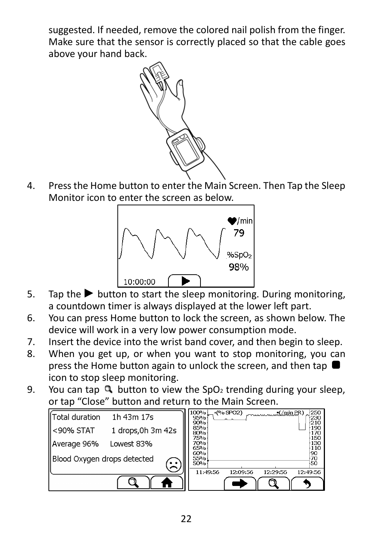suggested. If needed, remove the colored nail polish from the finger. Make sure that the sensor is correctly placed so that the cable goes above your hand back.



4. Press the Home button to enter the Main Screen. Then Tap the Sleep Monitor icon to enter the screen as below.



- 5. Tap the  $\blacktriangleright$  button to start the sleep monitoring. During monitoring, a countdown timer is always displayed at the lower left part.
- 6. You can press Home button to lock the screen, as shown below. The device will work in a very low power consumption mode.
- 7. Insert the device into the wrist band cover, and then begin to sleep.
- 8. When you get up, or when you want to stop monitoring, you can press the Home button again to unlock the screen, and then tap icon to stop sleep monitoring.
- 9. You can tap  $\mathbf Q$  button to view the SpO<sub>2</sub> trending during your sleep, or tap "Close" button and return to the Main Screen.

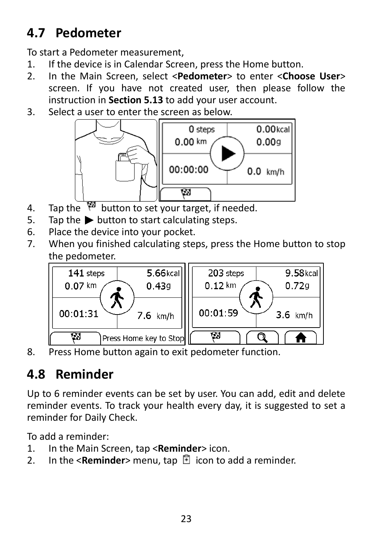## **4.7 Pedometer**

To start a Pedometer measurement,

- 1. If the device is in Calendar Screen, press the Home button.
- 2. In the Main Screen, select <**Pedometer**> to enter <**Choose User**> screen. If you have not created user, then please follow the instruction in **Section 5.13** to add your user account.
- 3. Select a user to enter the screen as below.



- 4. Tap the  $\sqrt{\frac{1}{2}}$  button to set your target, if needed.
- 5. Tap the  $\blacktriangleright$  button to start calculating steps.
- 6. Place the device into your pocket.
- 7. When you finished calculating steps, press the Home button to stop the pedometer.



8. Press Home button again to exit pedometer function.

## **4.8 Reminder**

Up to 6 reminder events can be set by user. You can add, edit and delete reminder events. To track your health every day, it is suggested to set a reminder for Daily Check.

To add a reminder:

- 1. In the Main Screen, tap <**Reminder**> icon.
- 2. In the  $\leq$ **Reminder**> menu, tap  $\Box$  icon to add a reminder.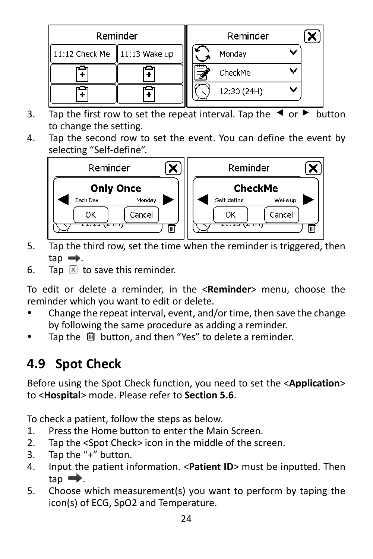|                                 | Reminder | Reminder    |  |
|---------------------------------|----------|-------------|--|
| 11:12 Check Me    11:13 Wake up |          | Monday      |  |
|                                 |          | CheckMe     |  |
|                                 |          | 12:30 (24H) |  |

- 3. Tap the first row to set the repeat interval. Tap the  $\triangleleft$  or  $\triangleright$  button to change the setting.
- 4. Tap the second row to set the event. You can define the event by selecting "Self-define".



- 5. Tap the third row, set the time when the reminder is triggered, then  $tan \rightarrow$ .
- 6. Tap  $\boxed{\times}$  to save this reminder.

To edit or delete a reminder, in the <**Reminder**> menu, choose the reminder which you want to edit or delete.

- Change the repeat interval, event, and/or time, then save the change by following the same procedure as adding a reminder.
- Tap the **n** button, and then "Yes" to delete a reminder.

## **4.9 Spot Check**

Before using the Spot Check function, you need to set the <**Application**> to <**Hospital**> mode. Please refer to **Section 5.6**.

To check a patient, follow the steps as below.

- 1. Press the Home button to enter the Main Screen.
- 2. Tap the <Spot Check> icon in the middle of the screen.
- 3. Tap the "+" button.
- 4. Input the patient information. <**Patient ID**> must be inputted. Then  $tan \rightarrow$ .
- 5. Choose which measurement(s) you want to perform by taping the icon(s) of ECG, SpO2 and Temperature.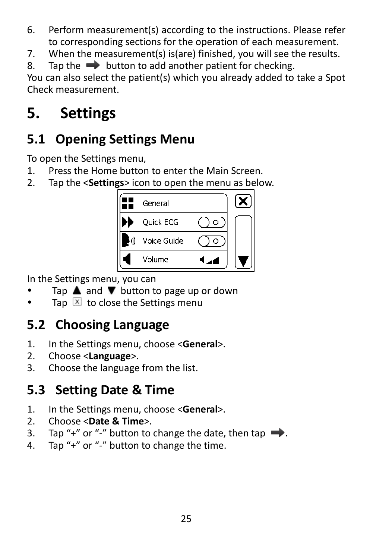- 6. Perform measurement(s) according to the instructions. Please refer to corresponding sections for the operation of each measurement.
- 7. When the measurement(s) is(are) finished, you will see the results.
- 8. Tap the  $\rightarrow$  button to add another patient for checking.

You can also select the patient(s) which you already added to take a Spot Check measurement.

## <span id="page-25-0"></span>**5. Settings**

#### **5.1 Opening Settings Menu**

To open the Settings menu,

- 1. Press the Home button to enter the Main Screen.
- 2. Tap the <**Settings**> icon to open the menu as below.



In the Settings menu, you can

- Tap  $\triangle$  and  $\nabla$  button to page up or down
- Tap  $\boxed{\mathbf{x}}$  to close the Settings menu

## **5.2 Choosing Language**

- 1. In the Settings menu, choose <**General**>.
- 2. Choose <**Language**>.
- 3. Choose the language from the list.

#### **5.3 Setting Date & Time**

- 1. In the Settings menu, choose <**General**>.
- 2. Choose <**Date & Time**>.
- Tap "+" or "-" button to change the date, then tap  $\rightarrow$ .
- 4. Tap "+" or "-" button to change the time.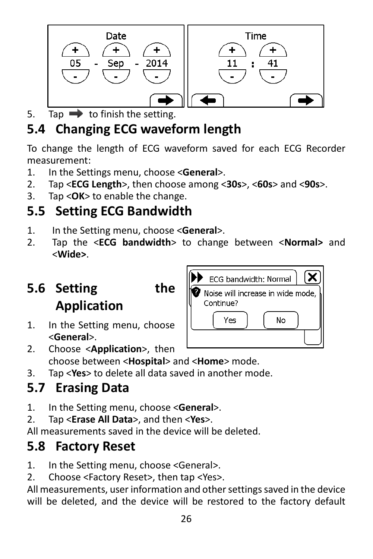

5. Tap  $\rightarrow$  to finish the setting.

## **5.4 Changing ECG waveform length**

To change the length of ECG waveform saved for each ECG Recorder measurement:

- 1. In the Settings menu, choose <**General**>.
- 2. Tap <**ECG Length**>, then choose among <**30s**>, <**60s**> and <**90s**>.
- 3. Tap <**OK**> to enable the change.

#### **5.5 Setting ECG Bandwidth**

- 1. In the Setting menu, choose <**General**>.
- 2. Tap the <**ECG bandwidth**> to change between <**Normal>** and <**Wide>**.

## **5.6 Setting the Application**

- 
- 1. In the Setting menu, choose <**General**>.
- 2. Choose <**Application**>, then choose between <**Hospital**> and <**Home**> mode.
- 3. Tap <**Yes**> to delete all data saved in another mode.

#### **5.7 Erasing Data**

- 1. In the Setting menu, choose <**General**>.
- 2. Tap <**Erase All Data**>, and then <**Yes**>.

All measurements saved in the device will be deleted.

#### **5.8 Factory Reset**

1. In the Setting menu, choose <General>.

2. Choose <Factory Reset>, then tap <Yes>.

All measurements, user information and other settings saved in the device will be deleted, and the device will be restored to the factory default

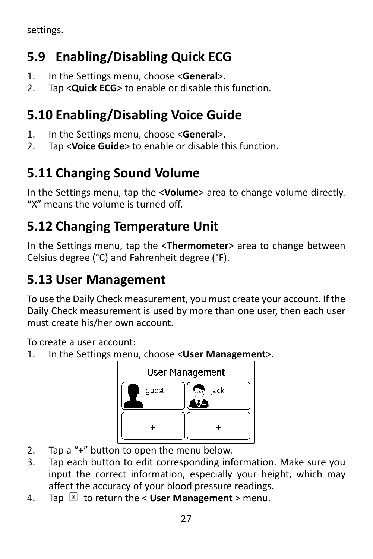settings.

## **5.9 Enabling/Disabling Quick ECG**

- 1. In the Settings menu, choose <**General**>.
- 2. Tap <**Quick ECG**> to enable or disable this function.

## **5.10 Enabling/Disabling Voice Guide**

- 1. In the Settings menu, choose <**General**>.
- 2. Tap <**Voice Guide**> to enable or disable this function.

## **5.11 Changing Sound Volume**

In the Settings menu, tap the <**Volume**> area to change volume directly. "X" means the volume is turned off.

## **5.12 Changing Temperature Unit**

In the Settings menu, tap the <**Thermometer**> area to change between Celsius degree (°C) and Fahrenheit degree (°F).

## **5.13 User Management**

To use the Daily Check measurement, you must create your account. If the Daily Check measurement is used by more than one user, then each user must create his/her own account.

To create a user account:

1. In the Settings menu, choose <**User Management**>.



- 2. Tap a "+" button to open the menu below.
- 3. Tap each button to edit corresponding information. Make sure you input the correct information, especially your height, which may affect the accuracy of your blood pressure readings.
- 4. Tap  $\boxed{\times}$  to return the < **User Management** > menu.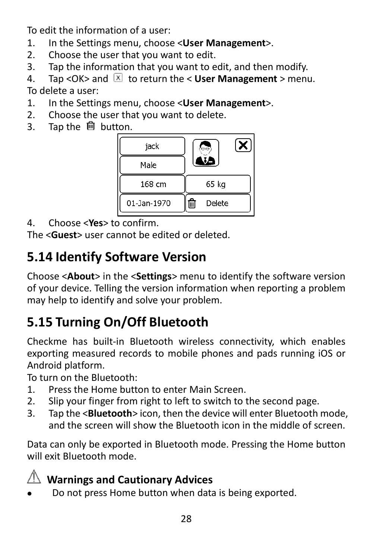To edit the information of a user:

- 1. In the Settings menu, choose <**User Management**>.
- 2. Choose the user that you want to edit.
- 3. Tap the information that you want to edit, and then modify.
- 4. Tap < OK > and  $\boxed{\times}$  to return the < User Management > menu. To delete a user:
- 1. In the Settings menu, choose <**User Management**>.
- 2. Choose the user that you want to delete.<br>3. Tap the  $\mathbb{\hat{m}}$  button.
- Tap the **f** button.



4. Choose <**Yes**> to confirm.

The <**Guest**> user cannot be edited or deleted.

## **5.14 Identify Software Version**

Choose <**About**> in the <**Settings**> menu to identify the software version of your device. Telling the version information when reporting a problem may help to identify and solve your problem.

## **5.15 Turning On/Off Bluetooth**

Checkme has built-in Bluetooth wireless connectivity, which enables exporting measured records to mobile phones and pads running iOS or Android platform.

To turn on the Bluetooth:

- 1. Press the Home button to enter Main Screen.
- 2. Slip your finger from right to left to switch to the second page.
- 3. Tap the <**Bluetooth**> icon, then the device will enter Bluetooth mode, and the screen will show the Bluetooth icon in the middle of screen.

Data can only be exported in Bluetooth mode. Pressing the Home button will exit Bluetooth mode.

#### **Warnings and Cautionary Advices**

Do not press Home button when data is being exported.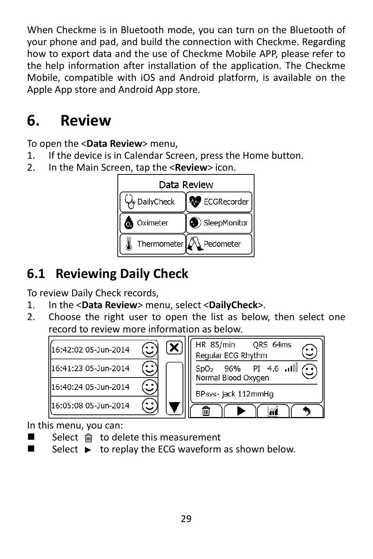When Checkme is in Bluetooth mode, you can turn on the Bluetooth of your phone and pad, and build the connection with Checkme. Regarding how to export data and the use of Checkme Mobile APP, please refer to the help information after installation of the application. The Checkme Mobile, compatible with iOS and Android platform, is available on the Apple App store and Android App store.

## <span id="page-29-0"></span>**6. Review**

To open the <**Data Review**> menu,

- 1. If the device is in Calendar Screen, press the Home button.
- 2. In the Main Screen, tap the <**Review**> icon.



#### **6.1 Reviewing Daily Check**

To review Daily Check records,

- 1. In the <**Data Review**> menu, select <**DailyCheck**>.
- 2. Choose the right user to open the list as below, then select one record to review more information as below.



In this menu, you can:

- $\blacksquare$  Select  $\blacksquare$  to delete this measurement
- $\Box$  Select  $\blacktriangleright$  to replay the ECG waveform as shown below.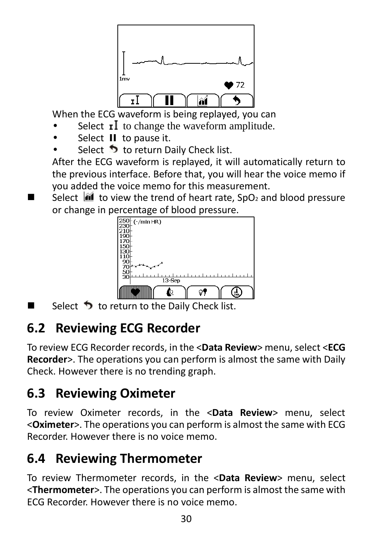

When the ECG waveform is being replayed, you can

- Select  $\mathbf{r}$  to change the waveform amplitude.
- Select II to pause it.
- Select  $\bullet$  to return Daily Check list.

After the ECG waveform is replayed, it will automatically return to the previous interface. Before that, you will hear the voice memo if you added the voice memo for this measurement.

Select  $\mathbf{M}$  to view the trend of heart rate, SpO<sub>2</sub> and blood pressure or change in percentage of blood pressure.<br> $\frac{250}{230}$  ( $\frac{7 \text{ min H}R}{2}$ )



Select  $\bigcirc$  to return to the Daily Check list.

## **6.2 Reviewing ECG Recorder**

To review ECG Recorder records, in the <**Data Review**> menu, select <**ECG Recorder**>. The operations you can perform is almost the same with Daily Check. However there is no trending graph.

#### **6.3 Reviewing Oximeter**

To review Oximeter records, in the <**Data Review**> menu, select <**Oximeter**>. The operations you can perform is almost the same with ECG Recorder. However there is no voice memo.

#### **6.4 Reviewing Thermometer**

To review Thermometer records, in the <**Data Review**> menu, select <**Thermometer**>. The operations you can perform is almost the same with ECG Recorder. However there is no voice memo.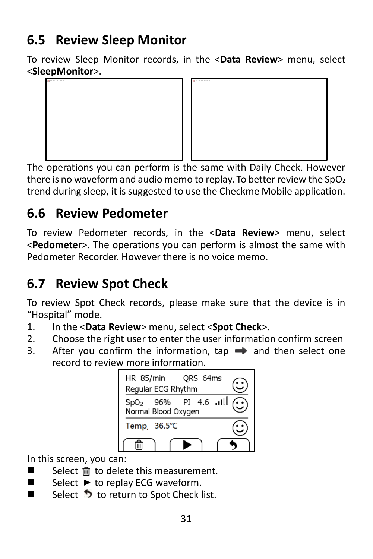#### **6.5 Review Sleep Monitor**

To review Sleep Monitor records, in the <**Data Review**> menu, select <**SleepMonitor**>.





The operations you can perform is the same with Daily Check. However there is no waveform and audio memo to replay. To better review the  $SpO<sub>2</sub>$ trend during sleep, it is suggested to use the Checkme Mobile application.

## **6.6 Review Pedometer**

To review Pedometer records, in the <**Data Review**> menu, select <**Pedometer**>. The operations you can perform is almost the same with Pedometer Recorder. However there is no voice memo.

## **6.7 Review Spot Check**

To review Spot Check records, please make sure that the device is in "Hospital" mode.

- 1. In the <**Data Review**> menu, select <**Spot Check**>.
- 2. Choose the right user to enter the user information confirm screen
- 3. After you confirm the information, tap  $\rightarrow$  and then select one record to review more information.



In this screen, you can:

- Select nut to delete this measurement.
- Select  $\blacktriangleright$  to replay ECG waveform.
- Select  $\bullet$  to return to Spot Check list.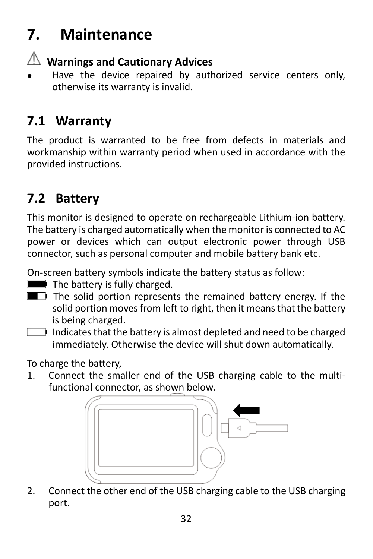## <span id="page-32-0"></span>**7. Maintenance**

#### **Warnings and Cautionary Advices**

 Have the device repaired by authorized service centers only, otherwise its warranty is invalid.

#### **7.1 Warranty**

The product is warranted to be free from defects in materials and workmanship within warranty period when used in accordance with the provided instructions.

#### **7.2 Battery**

This monitor is designed to operate on rechargeable Lithium-ion battery. The battery is charged automatically when the monitor is connected to AC power or devices which can output electronic power through USB connector, such as personal computer and mobile battery bank etc.

On-screen battery symbols indicate the battery status as follow:

- The battery is fully charged.
- The solid portion represents the remained battery energy. If the solid portion moves from left to right, then it means that the battery is being charged.
- Indicates that the battery is almost depleted and need to be charged immediately. Otherwise the device will shut down automatically.

To charge the battery,

1. Connect the smaller end of the USB charging cable to the multifunctional connector, as shown below.



2. Connect the other end of the USB charging cable to the USB charging port.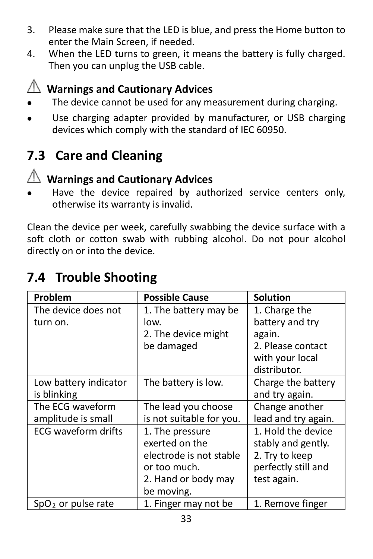- 3. Please make sure that the LED is blue, and press the Home button to enter the Main Screen, if needed.
- 4. When the LED turns to green, it means the battery is fully charged. Then you can unplug the USB cable.



## **Warnings and Cautionary Advices**

- The device cannot be used for any measurement during charging.
- Use charging adapter provided by manufacturer, or USB charging devices which comply with the standard of IEC 60950.

#### **7.3 Care and Cleaning**



#### **Warnings and Cautionary Advices**

 Have the device repaired by authorized service centers only, otherwise its warranty is invalid.

Clean the device per week, carefully swabbing the device surface with a soft cloth or cotton swab with rubbing alcohol. Do not pour alcohol directly on or into the device.

#### **7.4 Trouble Shooting**

| Problem               | <b>Possible Cause</b>    | <b>Solution</b>     |
|-----------------------|--------------------------|---------------------|
| The device does not   | 1. The battery may be    | 1. Charge the       |
| turn on.              | low.                     | battery and try     |
|                       | 2. The device might      | again.              |
|                       | be damaged               | 2. Please contact   |
|                       |                          | with your local     |
|                       |                          | distributor.        |
| Low battery indicator | The battery is low.      | Charge the battery  |
| is blinking           |                          | and try again.      |
| The ECG waveform      | The lead you choose      | Change another      |
| amplitude is small    | is not suitable for you. | lead and try again. |
| ECG waveform drifts   | 1. The pressure          | 1. Hold the device  |
|                       | exerted on the           | stably and gently.  |
|                       | electrode is not stable  | 2. Try to keep      |
|                       | or too much.             | perfectly still and |
|                       | 2. Hand or body may      | test again.         |
|                       | be moving.               |                     |
| $SpO2$ or pulse rate  | 1. Finger may not be     | 1. Remove finger    |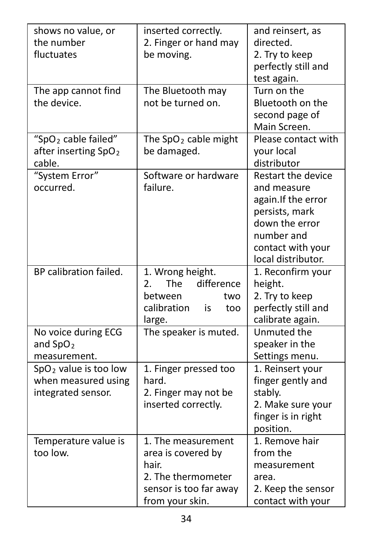| shows no value, or<br>the number<br>fluctuates                                | inserted correctly.<br>2. Finger or hand may<br>be moving.                                                           | and reinsert, as<br>directed.<br>2. Try to keep<br>perfectly still and<br>test again.                                                                 |
|-------------------------------------------------------------------------------|----------------------------------------------------------------------------------------------------------------------|-------------------------------------------------------------------------------------------------------------------------------------------------------|
| The app cannot find<br>the device.                                            | The Bluetooth may<br>not be turned on.                                                                               | Turn on the<br>Bluetooth on the<br>second page of<br>Main Screen.                                                                                     |
| "SpO <sub>2</sub> cable failed"<br>after inserting SpO <sub>2</sub><br>cable. | The SpO <sub>2</sub> cable might<br>be damaged.                                                                      | Please contact with<br>your local<br>distributor                                                                                                      |
| "System Error"<br>occurred.                                                   | Software or hardware<br>failure.                                                                                     | Restart the device<br>and measure<br>again. If the error<br>persists, mark<br>down the error<br>number and<br>contact with your<br>local distributor. |
| BP calibration failed.                                                        | 1. Wrong height.<br>difference<br>2.<br>The<br>between<br>two<br>calibration<br>is<br>too<br>large.                  | 1. Reconfirm your<br>height.<br>2. Try to keep<br>perfectly still and<br>calibrate again.                                                             |
| No voice during ECG<br>and $SpO2$<br>measurement.                             | The speaker is muted.                                                                                                | Unmuted the<br>speaker in the<br>Settings menu.                                                                                                       |
| $SpO2$ value is too low<br>when measured using<br>integrated sensor.          | 1. Finger pressed too<br>hard.<br>2. Finger may not be<br>inserted correctly.                                        | 1. Reinsert your<br>finger gently and<br>stably.<br>2. Make sure your<br>finger is in right<br>position.                                              |
| Temperature value is<br>too low.                                              | 1. The measurement<br>area is covered by<br>hair.<br>2. The thermometer<br>sensor is too far away<br>from your skin. | 1. Remove hair<br>from the<br>measurement<br>area.<br>2. Keep the sensor<br>contact with your                                                         |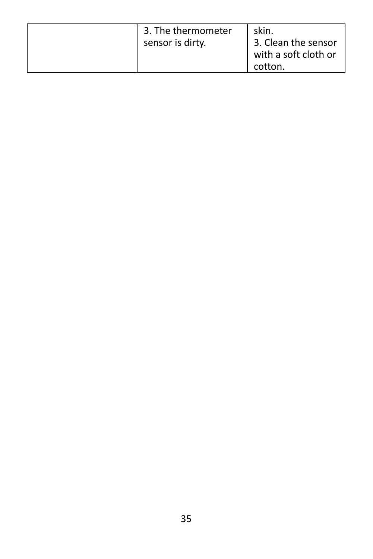| 3. The thermometer<br>sensor is dirty. | skin.<br>3. Clean the sensor<br>with a soft cloth or<br>cotton. |
|----------------------------------------|-----------------------------------------------------------------|
|----------------------------------------|-----------------------------------------------------------------|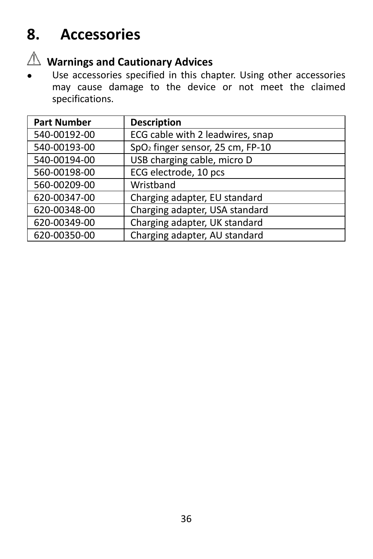## <span id="page-36-0"></span>**8. Accessories**



# **Warnings and Cautionary Advices**

 Use accessories specified in this chapter. Using other accessories may cause damage to the device or not meet the claimed specifications.

| <b>Part Number</b> | <b>Description</b>                           |
|--------------------|----------------------------------------------|
| 540-00192-00       | ECG cable with 2 leadwires, snap             |
| 540-00193-00       | SpO <sub>2</sub> finger sensor, 25 cm, FP-10 |
| 540-00194-00       | USB charging cable, micro D                  |
| 560-00198-00       | ECG electrode, 10 pcs                        |
| 560-00209-00       | Wristband                                    |
| 620-00347-00       | Charging adapter, EU standard                |
| 620-00348-00       | Charging adapter, USA standard               |
| 620-00349-00       | Charging adapter, UK standard                |
| 620-00350-00       | Charging adapter, AU standard                |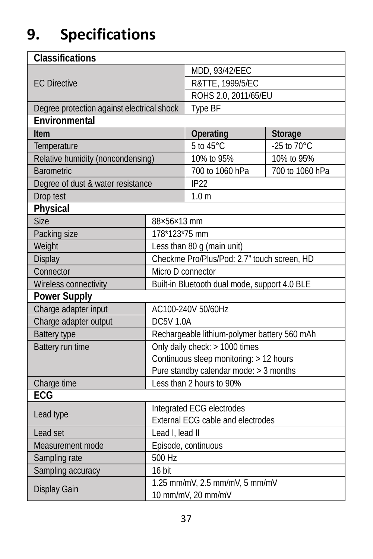## <span id="page-37-0"></span>**9. Specifications**

| Classifications                                                        |                                              |                                             |                 |  |
|------------------------------------------------------------------------|----------------------------------------------|---------------------------------------------|-----------------|--|
| <b>EC Directive</b>                                                    |                                              | MDD, 93/42/EEC                              |                 |  |
|                                                                        |                                              | R&TTE, 1999/5/EC                            |                 |  |
|                                                                        |                                              | ROHS 2.0, 2011/65/EU                        |                 |  |
| Degree protection against electrical shock                             |                                              | <b>Type BF</b>                              |                 |  |
| Environmental                                                          |                                              |                                             |                 |  |
| Item                                                                   |                                              | Operating                                   | Storage         |  |
| Temperature                                                            |                                              | 5 to 45°C                                   | -25 to 70°C     |  |
| Relative humidity (noncondensing)                                      |                                              | 10% to 95%                                  | 10% to 95%      |  |
| <b>Barometric</b>                                                      |                                              | 700 to 1060 hPa                             | 700 to 1060 hPa |  |
| Degree of dust & water resistance                                      |                                              | IP <sub>22</sub>                            |                 |  |
| Drop test                                                              |                                              | 1.0 <sub>m</sub>                            |                 |  |
| Physical                                                               |                                              |                                             |                 |  |
| <b>Size</b>                                                            | 88×56×13 mm                                  |                                             |                 |  |
| Packing size                                                           | 178*123*75 mm                                |                                             |                 |  |
| Weight                                                                 |                                              | Less than 80 g (main unit)                  |                 |  |
| Display                                                                |                                              | Checkme Pro/Plus/Pod: 2.7" touch screen, HD |                 |  |
| Connector                                                              | Micro D connector                            |                                             |                 |  |
| Wireless connectivity<br>Built-in Bluetooth dual mode, support 4.0 BLE |                                              |                                             |                 |  |
| <b>Power Supply</b>                                                    |                                              |                                             |                 |  |
| Charge adapter input                                                   |                                              | AC100-240V 50/60Hz                          |                 |  |
| Charge adapter output                                                  | <b>DC5V 1.0A</b>                             |                                             |                 |  |
| <b>Battery type</b>                                                    | Rechargeable lithium-polymer battery 560 mAh |                                             |                 |  |
| Battery run time                                                       | Only daily check: > 1000 times               |                                             |                 |  |
|                                                                        |                                              | Continuous sleep monitoring: > 12 hours     |                 |  |
|                                                                        | Pure standby calendar mode: > 3 months       |                                             |                 |  |
| Charge time                                                            |                                              | Less than 2 hours to 90%                    |                 |  |
| ECG                                                                    |                                              |                                             |                 |  |
| Lead type                                                              | Integrated ECG electrodes                    |                                             |                 |  |
|                                                                        | <b>External ECG cable and electrodes</b>     |                                             |                 |  |
| Lead set                                                               | Lead I. lead II                              |                                             |                 |  |
| Measurement mode                                                       | Episode, continuous                          |                                             |                 |  |
| Sampling rate                                                          | 500 Hz                                       |                                             |                 |  |
| Sampling accuracy                                                      | 16 bit                                       |                                             |                 |  |
| Display Gain                                                           |                                              | 1.25 mm/mV, 2.5 mm/mV, 5 mm/mV              |                 |  |
|                                                                        |                                              | 10 mm/mV, 20 mm/mV                          |                 |  |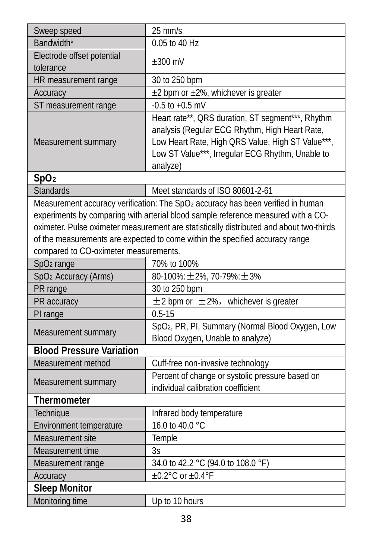| Sweep speed                                                                                                                                                                                                                                                                                           | $25$ mm/s                                                                                                                                                                                                                |  |
|-------------------------------------------------------------------------------------------------------------------------------------------------------------------------------------------------------------------------------------------------------------------------------------------------------|--------------------------------------------------------------------------------------------------------------------------------------------------------------------------------------------------------------------------|--|
| Bandwidth*                                                                                                                                                                                                                                                                                            | 0.05 to 40 Hz                                                                                                                                                                                                            |  |
| Electrode offset potential<br>tolerance                                                                                                                                                                                                                                                               | $\pm 300$ mV                                                                                                                                                                                                             |  |
| HR measurement range                                                                                                                                                                                                                                                                                  | 30 to 250 bpm                                                                                                                                                                                                            |  |
| Accuracy                                                                                                                                                                                                                                                                                              | ±2 bpm or ±2%, whichever is greater                                                                                                                                                                                      |  |
| ST measurement range                                                                                                                                                                                                                                                                                  | $-0.5$ to $+0.5$ mV                                                                                                                                                                                                      |  |
| Measurement summary                                                                                                                                                                                                                                                                                   | Heart rate**, QRS duration, ST segment***, Rhythm<br>analysis (Regular ECG Rhythm, High Heart Rate,<br>Low Heart Rate, High QRS Value, High ST Value***,<br>Low ST Value***, Irregular ECG Rhythm, Unable to<br>analyze) |  |
| SpO <sub>2</sub>                                                                                                                                                                                                                                                                                      |                                                                                                                                                                                                                          |  |
| <b>Standards</b>                                                                                                                                                                                                                                                                                      | Meet standards of ISO 80601-2-61                                                                                                                                                                                         |  |
|                                                                                                                                                                                                                                                                                                       | Measurement accuracy verification: The SpO2 accuracy has been verified in human                                                                                                                                          |  |
| experiments by comparing with arterial blood sample reference measured with a CO-<br>oximeter. Pulse oximeter measurement are statistically distributed and about two-thirds<br>of the measurements are expected to come within the specified accuracy range<br>compared to CO-oximeter measurements. |                                                                                                                                                                                                                          |  |
| SpO <sub>2</sub> range                                                                                                                                                                                                                                                                                | 70% to 100%                                                                                                                                                                                                              |  |
| SpO <sub>2</sub> Accuracy (Arms)                                                                                                                                                                                                                                                                      | $80-100\%$ : $\pm 2\%$ , 70-79%: $\pm 3\%$                                                                                                                                                                               |  |
| PR range                                                                                                                                                                                                                                                                                              | 30 to 250 bpm                                                                                                                                                                                                            |  |
| PR accuracy                                                                                                                                                                                                                                                                                           | $\pm$ 2 bpm or $\pm$ 2%, whichever is greater                                                                                                                                                                            |  |
| PI range                                                                                                                                                                                                                                                                                              | $0.5 - 15$                                                                                                                                                                                                               |  |
| Measurement summary                                                                                                                                                                                                                                                                                   | SpO <sub>2</sub> , PR, PI, Summary (Normal Blood Oxygen, Low<br>Blood Oxygen, Unable to analyze)                                                                                                                         |  |
| <b>Blood Pressure Variation</b>                                                                                                                                                                                                                                                                       |                                                                                                                                                                                                                          |  |
| Measurement method                                                                                                                                                                                                                                                                                    | Cuff-free non-invasive technology                                                                                                                                                                                        |  |
| Measurement summary                                                                                                                                                                                                                                                                                   | Percent of change or systolic pressure based on<br>individual calibration coefficient                                                                                                                                    |  |
| Thermometer                                                                                                                                                                                                                                                                                           |                                                                                                                                                                                                                          |  |
| Technique                                                                                                                                                                                                                                                                                             | Infrared body temperature                                                                                                                                                                                                |  |
| Environment temperature                                                                                                                                                                                                                                                                               | 16.0 to 40.0 °C                                                                                                                                                                                                          |  |
| Measurement site                                                                                                                                                                                                                                                                                      | Temple                                                                                                                                                                                                                   |  |
| Measurement time                                                                                                                                                                                                                                                                                      | 3s                                                                                                                                                                                                                       |  |
| Measurement range                                                                                                                                                                                                                                                                                     | 34.0 to 42.2 °C (94.0 to 108.0 °F)                                                                                                                                                                                       |  |
| Accuracy                                                                                                                                                                                                                                                                                              | $\pm 0.2^{\circ}$ C or $\pm 0.4^{\circ}$ F                                                                                                                                                                               |  |
| <b>Sleep Monitor</b>                                                                                                                                                                                                                                                                                  |                                                                                                                                                                                                                          |  |
| Monitoring time                                                                                                                                                                                                                                                                                       | Up to 10 hours                                                                                                                                                                                                           |  |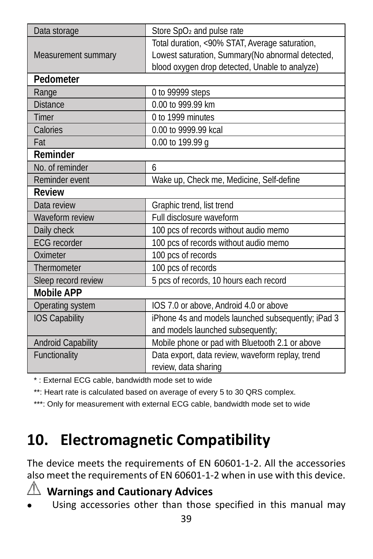| Data storage              | Store SpO <sub>2</sub> and pulse rate              |
|---------------------------|----------------------------------------------------|
|                           | Total duration, <90% STAT, Average saturation,     |
| Measurement summary       | Lowest saturation, Summary(No abnormal detected,   |
|                           | blood oxygen drop detected, Unable to analyze)     |
| Pedometer                 |                                                    |
| Range                     | 0 to 99999 steps                                   |
| <b>Distance</b>           | 0.00 to 999.99 km                                  |
| Timer                     | 0 to 1999 minutes                                  |
| Calories                  | 0.00 to 9999.99 kcal                               |
| Fat                       | 0.00 to 199.99 g                                   |
| Reminder                  |                                                    |
| No. of reminder           | 6                                                  |
| Reminder event            | Wake up, Check me, Medicine, Self-define           |
| Review                    |                                                    |
| Data review               | Graphic trend, list trend                          |
| Waveform review           | Full disclosure waveform                           |
| Daily check               | 100 pcs of records without audio memo              |
| <b>ECG</b> recorder       | 100 pcs of records without audio memo              |
| Oximeter                  | 100 pcs of records                                 |
| Thermometer               | 100 pcs of records                                 |
| Sleep record review       | 5 pcs of records, 10 hours each record             |
| <b>Mobile APP</b>         |                                                    |
| Operating system          | IOS 7.0 or above, Android 4.0 or above             |
| <b>IOS Capability</b>     | iPhone 4s and models launched subsequently; iPad 3 |
|                           | and models launched subsequently;                  |
| <b>Android Capability</b> | Mobile phone or pad with Bluetooth 2.1 or above    |
| Functionality             | Data export, data review, waveform replay, trend   |
|                           | review, data sharing                               |

\* : External ECG cable, bandwidth mode set to wide

\*\*: Heart rate is calculated based on average of every 5 to 30 QRS complex.

\*\*\*: Only for measurement with external ECG cable, bandwidth mode set to wide

## <span id="page-39-0"></span>**10. Electromagnetic Compatibility**

The device meets the requirements of EN 60601-1-2. All the accessories also meet the requirements of EN 60601-1-2 when in use with this device.

#### **Warnings and Cautionary Advices**

Using accessories other than those specified in this manual may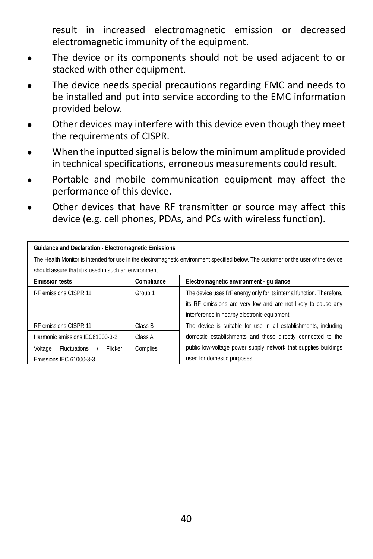result in increased electromagnetic emission or decreased electromagnetic immunity of the equipment.

- The device or its components should not be used adjacent to or stacked with other equipment.
- The device needs special precautions regarding EMC and needs to be installed and put into service according to the EMC information provided below.
- Other devices may interfere with this device even though they meet the requirements of CISPR.
- When the inputted signal is below the minimum amplitude provided in technical specifications, erroneous measurements could result.
- Portable and mobile communication equipment may affect the performance of this device.
- Other devices that have RF transmitter or source may affect this device (e.g. cell phones, PDAs, and PCs with wireless function).

| Guidance and Declaration - Electromagnetic Emissions                                                                                                                                       |            |                                                                                                                                                                                       |  |  |  |
|--------------------------------------------------------------------------------------------------------------------------------------------------------------------------------------------|------------|---------------------------------------------------------------------------------------------------------------------------------------------------------------------------------------|--|--|--|
| The Health Monitor is intended for use in the electromagnetic environment specified below. The customer or the user of the device<br>should assure that it is used in such an environment. |            |                                                                                                                                                                                       |  |  |  |
| <b>Emission tests</b>                                                                                                                                                                      | Compliance | Electromagnetic environment - quidance                                                                                                                                                |  |  |  |
| RF emissions CISPR 11                                                                                                                                                                      | Group 1    | The device uses RF energy only for its internal function. Therefore,<br>its RF emissions are very low and are not likely to cause any<br>interference in nearby electronic equipment. |  |  |  |
| RF emissions CISPR 11                                                                                                                                                                      | Class B    | The device is suitable for use in all establishments, including                                                                                                                       |  |  |  |
| Harmonic emissions IEC61000-3-2                                                                                                                                                            | Class A    | domestic establishments and those directly connected to the                                                                                                                           |  |  |  |
| <b>Fluctuations</b><br>Flicker<br>Voltage<br>Emissions IEC 61000-3-3                                                                                                                       | Complies   | public low-voltage power supply network that supplies buildings<br>used for domestic purposes.                                                                                        |  |  |  |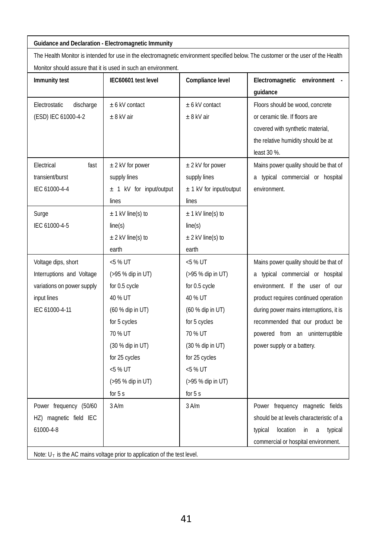#### **Guidance and Declaration - Electromagnetic Immunity**

The Health Monitor is intended for use in the electromagnetic environment specified below. The customer or the user of the Health Monitor should assure that it is used in such an environment.

|                                                                             | MONICOL SHOUIQ ASSULE (HALITIS USEG IN SUCH AN ENVIRONMENT) |                         |                                           |  |  |
|-----------------------------------------------------------------------------|-------------------------------------------------------------|-------------------------|-------------------------------------------|--|--|
| Immunity test                                                               | IEC60601 test level                                         | Compliance level        | Electromagnetic environment -             |  |  |
|                                                                             |                                                             |                         | quidance                                  |  |  |
| Flectrostatic<br>discharge                                                  | + 6 kV contact                                              | + 6 kV contact          | Floors should be wood, concrete           |  |  |
| (ESD) IEC 61000-4-2                                                         | $+8$ kV air                                                 | $+8$ kV air             | or ceramic tile. If floors are            |  |  |
|                                                                             |                                                             |                         | covered with synthetic material,          |  |  |
|                                                                             |                                                             |                         | the relative humidity should be at        |  |  |
|                                                                             |                                                             |                         | least 30 %.                               |  |  |
| Flectrical<br>fast                                                          | $\pm$ 2 kV for power                                        | $±$ 2 kV for power      | Mains power quality should be that of     |  |  |
| transient/burst                                                             | supply lines                                                | supply lines            | a typical commercial or hospital          |  |  |
| IEC 61000-4-4                                                               | ± 1 kV for input/output                                     | ± 1 kV for input/output | environment.                              |  |  |
|                                                                             | lines                                                       | lines                   |                                           |  |  |
| Surge                                                                       | $\pm$ 1 kV line(s) to                                       | $\pm$ 1 kV line(s) to   |                                           |  |  |
| IEC 61000-4-5                                                               | line(s)                                                     | line(s)                 |                                           |  |  |
|                                                                             | $\pm$ 2 kV line(s) to                                       | $\pm$ 2 kV line(s) to   |                                           |  |  |
|                                                                             | earth                                                       | earth                   |                                           |  |  |
| Voltage dips, short                                                         | $< 5$ % UT                                                  | $< 5$ % UT              | Mains power quality should be that of     |  |  |
| Interruptions and Voltage                                                   | (>95 % dip in UT)                                           | (>95 % dip in UT)       | a typical commercial or hospital          |  |  |
| variations on power supply                                                  | for 0.5 cycle                                               | for 0.5 cycle           | environment. If the user of our           |  |  |
| input lines                                                                 | 40 % UT                                                     | 40 % UT                 | product requires continued operation      |  |  |
| IEC 61000-4-11                                                              | (60 % dip in UT)                                            | (60 % dip in UT)        | during power mains interruptions, it is   |  |  |
|                                                                             | for 5 cycles                                                | for 5 cycles            | recommended that our product be           |  |  |
|                                                                             | 70 % UT                                                     | 70 % UT                 | powered from an uninterruptible           |  |  |
|                                                                             | (30 % dip in UT)                                            | (30 % dip in UT)        | power supply or a battery.                |  |  |
|                                                                             | for 25 cycles                                               | for 25 cycles           |                                           |  |  |
|                                                                             | $< 5$ % UT                                                  | $< 5$ % UT              |                                           |  |  |
|                                                                             | (>95 % dip in UT)                                           | (>95 % dip in UT)       |                                           |  |  |
|                                                                             | for $5s$                                                    | for $5s$                |                                           |  |  |
| Power frequency (50/60                                                      | $3$ A/m                                                     | $3$ A/m                 | Power frequency magnetic fields           |  |  |
| HZ) magnetic field IEC                                                      |                                                             |                         | should be at levels characteristic of a   |  |  |
| 61000-4-8                                                                   |                                                             |                         | in<br>typical<br>location<br>a<br>typical |  |  |
|                                                                             |                                                             |                         | commercial or hospital environment.       |  |  |
| Note: $U_T$ is the AC mains voltage prior to application of the test level. |                                                             |                         |                                           |  |  |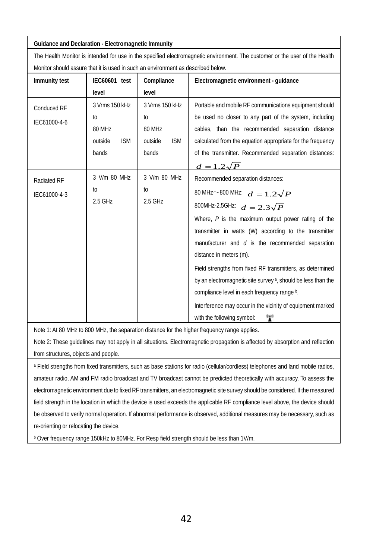**Guidance and Declaration - Electromagnetic Immunity**

The Health Monitor is intended for use in the specified electromagnetic environment. The customer or the user of the Health Monitor should assure that it is used in such an environment as described below.

| Immunity test               | IEC60601 test                    | Compliance            | Electromagnetic environment - quidance                                   |
|-----------------------------|----------------------------------|-----------------------|--------------------------------------------------------------------------|
|                             | level                            | level                 |                                                                          |
| Conduced RF<br>IFC61000-4-6 | 3 Vrms 150 kHz<br>3 Vrms 150 kHz |                       | Portable and mobile RF communications equipment should                   |
|                             | to                               | to                    | be used no closer to any part of the system, including                   |
|                             | 80 MHz                           | 80 MHz                | cables, than the recommended separation distance                         |
|                             | <b>ISM</b><br>outside            | <b>ISM</b><br>outside | calculated from the equation appropriate for the frequency               |
|                             | bands                            | bands                 | of the transmitter. Recommended separation distances:                    |
|                             |                                  |                       | $d=1.2\sqrt{P}$                                                          |
| Radiated RF<br>IFC61000-4-3 | 3 V/m 80 MHz                     | 3 V/m 80 MHz          | Recommended separation distances:                                        |
|                             | to                               | to<br>2.5 GHz         | 80 MHz $\sim$ 800 MHz: $d = 1.2\sqrt{P}$                                 |
|                             | 2.5 GHz                          |                       | 800MHz-2.5GHz: $d = 2.3\sqrt{P}$                                         |
|                             |                                  |                       | Where, $P$ is the maximum output power rating of the                     |
|                             |                                  |                       | transmitter in watts (W) according to the transmitter                    |
|                             |                                  |                       | manufacturer and $d$ is the recommended separation                       |
|                             |                                  |                       | distance in meters (m).                                                  |
|                             |                                  |                       | Field strengths from fixed RF transmitters, as determined                |
|                             |                                  |                       | by an electromagnetic site survey <sup>a</sup> , should be less than the |
|                             |                                  |                       | compliance level in each frequency range b.                              |
|                             |                                  |                       | Interference may occur in the vicinity of equipment marked               |
|                             |                                  |                       | r<br>with the following symbol:                                          |

Note 1: At 80 MHz to 800 MHz, the separation distance for the higher frequency range applies.

Note 2: These guidelines may not apply in all situations. Electromagnetic propagation is affected by absorption and reflection from structures, objects and people.

a Field strengths from fixed transmitters, such as base stations for radio (cellular/cordless) telephones and land mobile radios, amateur radio, AM and FM radio broadcast and TV broadcast cannot be predicted theoretically with accuracy. To assess the electromagnetic environment due to fixed RF transmitters, an electromagnetic site survey should be considered. If the measured field strength in the location in which the device is used exceeds the applicable RF compliance level above, the device should be observed to verify normal operation. If abnormal performance is observed, additional measures may be necessary, such as re-orienting or relocating the device.

**b Over frequency range 150kHz to 80MHz. For Resp field strength should be less than 1V/m.**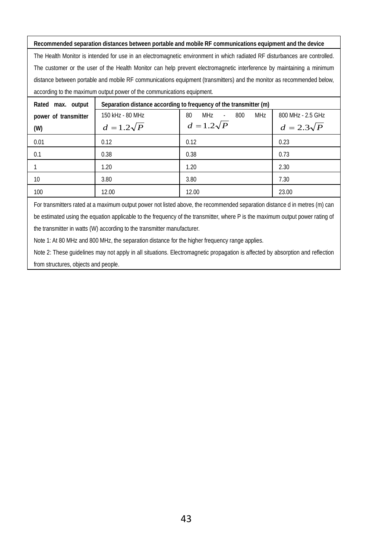**Recommended separation distances between portable and mobile RF communications equipment and the device** The Health Monitor is intended for use in an electromagnetic environment in which radiated RF disturbances are controlled. The customer or the user of the Health Monitor can help prevent electromagnetic interference by maintaining a minimum distance between portable and mobile RF communications equipment (transmitters) and the monitor as recommended below, according to the maximum output power of the communications equipment.

| Rated max. output    | Separation distance according to frequency of the transmitter (m) |                                          |                   |  |  |
|----------------------|-------------------------------------------------------------------|------------------------------------------|-------------------|--|--|
| power of transmitter | 150 kHz - 80 MHz                                                  | MH <sub>7</sub><br>MHz<br>80<br>800<br>÷ | 800 MHz - 2.5 GHz |  |  |
| (W)                  | $d=1.2\sqrt{P}$                                                   | $d=1.2\sqrt{P}$                          | $d=2.3\sqrt{P}$   |  |  |
| 0.01                 | 0.12                                                              | 0.12                                     | 0.23              |  |  |
| 0.1                  | 0.38                                                              | 0.38                                     | 0.73              |  |  |
|                      | 1.20                                                              | 1.20                                     | 2.30              |  |  |
| 10                   | 3.80                                                              | 3.80                                     | 7.30              |  |  |
| 100                  | 12.00                                                             | 12.00                                    | 23.00             |  |  |

For transmitters rated at a maximum output power not listed above, the recommended separation distance d in metres (m) can be estimated using the equation applicable to the frequency of the transmitter, where P is the maximum output power rating of the transmitter in watts (W) according to the transmitter manufacturer.

Note 1: At 80 MHz and 800 MHz, the separation distance for the higher frequency range applies.

Note 2: These guidelines may not apply in all situations. Electromagnetic propagation is affected by absorption and reflection from structures, objects and people.